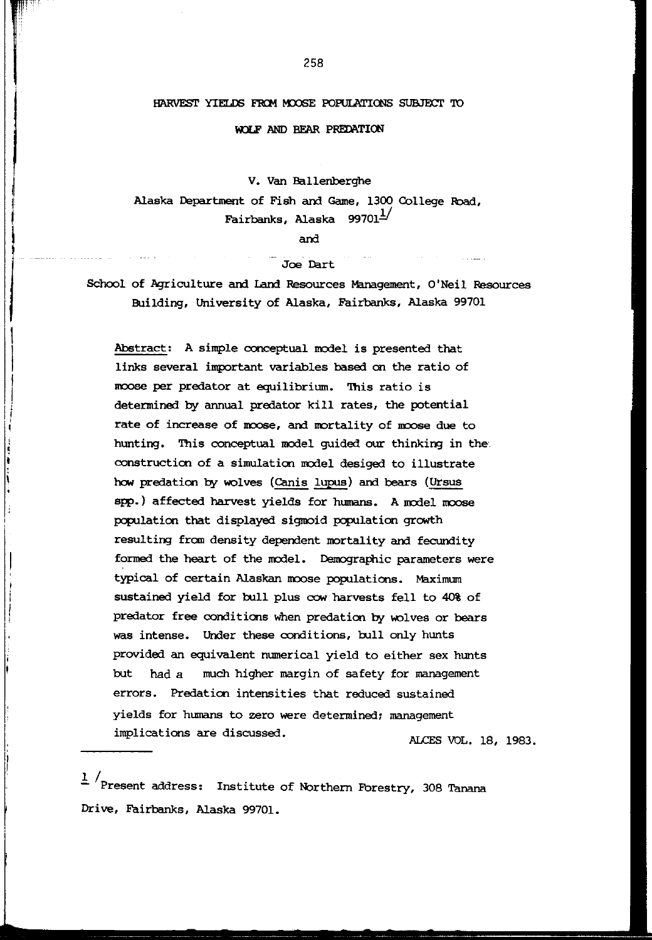### HARVEST YIELDS FROM MOOSE POPULATIONS SUBJECT TO

#### WOLF AND BEAR PREDATION

V. Van Ballenberghe

Alaska Department of Fish and Game, 1300 College Road, Fairbanks, Alaska  $99701^{1/2}$ 

and

# Joe Dart

School of Agriculture and Land Resources Management, O'Neil Resources Building, University of Alaska, Fairbanks, Alaska 99701

Abstract: A simple conceptual model is presented that links several important variables based an the ratio of moose per predator at equilibrium. This ratio is determined by annual predator kill rates, the potential rate of increase of moose, and mortality of moose due to hunting. This conceptual model guided our thinking in the construction of a simulation model desiged to illustrate how predation by wolves (Canis lupus) and bears (Ursus spp.) affected harvest yields for humans. A model moose population that displayed sigmoid population growth resulting from density dependent mortality and fecundity formed the heart of the model. Demographic parameters were typical of certain Alaskan moose populations. Maximum sustained yield for bull plus cow harvests fell to 40% of predator free conditions when predation by wolves or bears was intense. Under these conditions, bull only hunts provided an equivalent numerical yield to either sex hunts but had a much higher margin of safety for management errors. Predation intensities that reduced sustained yields for humans to zero were determined; management implications are discussed. ALCES VOL. 18, 1983.

 $\frac{1}{s}$  /Present address: Institute of Northern Forestry, 308 Tanana Drive, Fairbanks, Alaska 99701.

r

I I ' I

|<br>|<br>|<br>|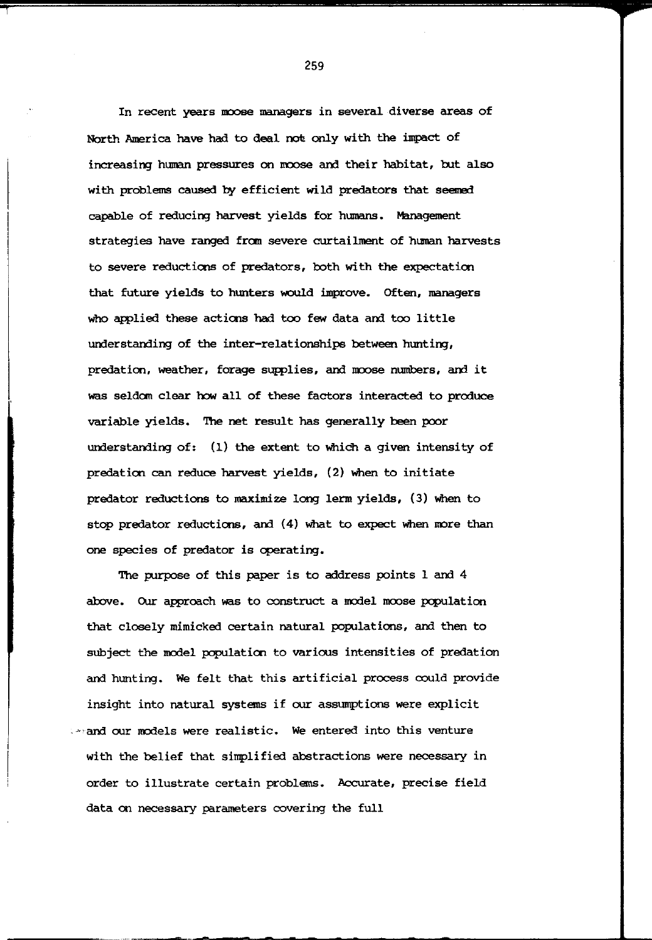In recent years moose managers in several diverse areas of North America have had to deal not only with the impact of increasing human pressures on moose and their habitat, but also with problems caused by efficient wild predators that seemed capable of reducing harvest yields for humans. Management strategies have ranged from severe curtailment of human harvests to severe reductions of predators, both with the expectation that future yields to hunters would improve. Often, managers Who applied these actions had too few data and too little understanding of the inter-relationships between hunting, predation, weather, forage supplies, and moose numbers, and it was seldom clear how all of these factors interacted to produce variable yields. The net result has generally been poor understanding of: (1) the extent to Which a given intensity of predation can reduce harvest yields, (2) When to initiate predator reductions to maximize long lerm yields, (3) When to stop predator reductions, and (4) What to expect When rore than one species of predator is operating.

The purpose of this paper is to address points 1 and 4 above. Our approach was to construct a model moose population that closely mimicked certain natural populations, and then to subject the rodel population to varioos intensities of predation and hunting. We felt that this artificial process could provide insight into natural systems if oor assumptions were explicit , '"and our rodels were realistic. We entered into this venture with the belief that simplified abstractions were necessary in order to illustrate certain problems. Accurate, precise field data on necessary parameters covering the full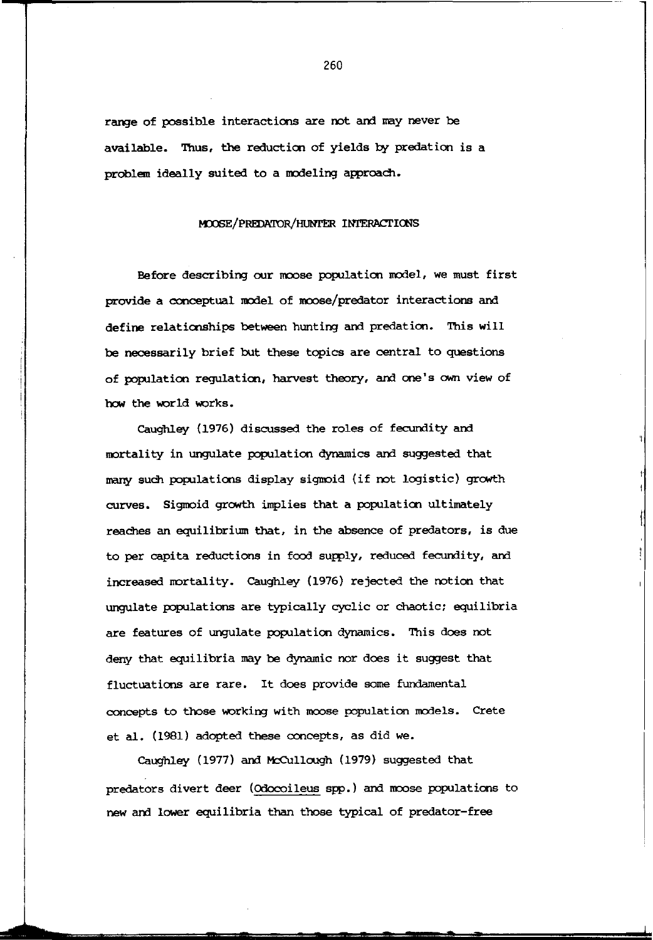range of possible interactions are oot and nay never be available. Thus, the reduction of yields by predation is a problem ideally suited to a modeling approach.

# ~/PREDATOR/HUNI'ER INl'ERACl'IOOS

Before describing our moose population model, we must first provide a conceptual model of moose/predator interactions and define relationships between hunting and predation. This will be necessarily brief but these topics are central to questions of population regulaticn, harvest theory, and one's own view of how the world works.

Caughley (1976) discussed the roles of fecundity and mortality in ungulate population dynamics and suggested that many such populations display sigmoid (if not logistic) growth curves. Sigmoid growth implies that a population ultimately reaChes an equilibrium that, in the absence of predators, is due to per capita reductions in food supply, reduced fecundity, and increased mortality. Caughley (1976) rejected the notion that ungulate populations are typically cyclic or Chaotic; equilibria are features of unquiate population dynamics. This does not deny that equilibria nay be dynamic nor does it suggest that fluctuations are rare. It does provide some fundamental concepts to those working with moose population models. Crete et al. (1981) adopted these concepts, as did we.

Caughley (1977) and McCullough (1979) suggested that predators divert deer (Odocoileus spp.) and moose populations to new and lower equilibria than those typical of predator-free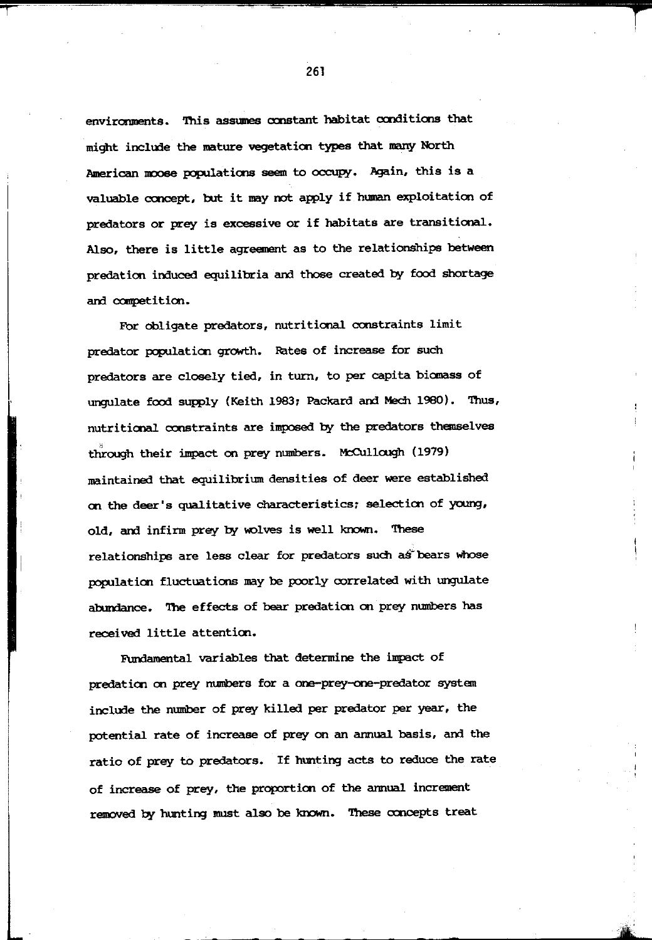environments. This assumes constant habitat conditions that might include the mature vegetation types that many North American moose populations seem to occupy. Again, this is a valuable ccnoept, but it may not apply if human exploitation of predators or prey is excessive or if habitats are transitional. Also, there is little agreement as to the relationships between predation induced equilibria and those created by food shortage and ccmpetition.

For obligate predators, nutritional constraints limit predator population growth. Rates of increase for such predators are closely tied, in turn, to per capita biomass of ungulate food supply (Keith 1983; Packard and Mech 1980). Thus, nutritional constraints are imposed by the predators themselves through their impact on prey numbers. McCullough (1979) maintained that equilibrium densities of deer were established on the deer's qualitative characteristics; selection of young, old, and infirm prey by wolves is well known. These relationships are less clear for predators such as bears whose population fluctuations may be poorly correlated with ungulate abundance. The effects of bear predation on prey numbers has received little attention.

Fundamental variables that determine the impact of predation on prey numbers for a one-prey-one-predator system include the number of prey killed per predator per year, the potential rate of increase of prey on an annual basis, and the ratio of prey to predators. If hunting acts to reduce the rate of increase of prey, the proportion of the annual increment removed by hunting must also be known. These ocncepts treat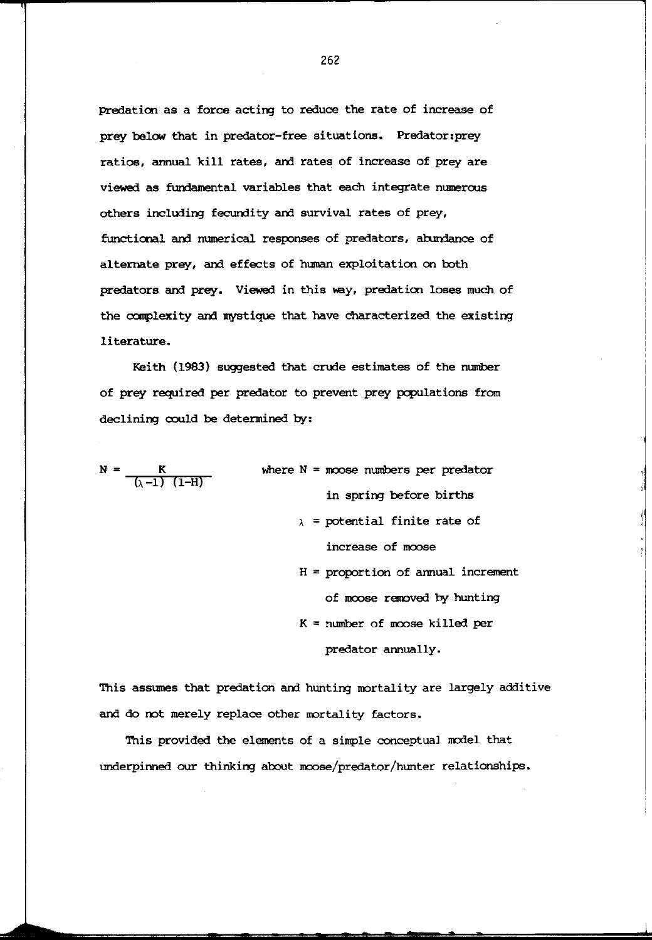predation as a force acting to reduce the rate of increase of prey below that in predator-free situations. Predator:prey ratios, annual kill rates, and rates of increase of prey are viewed as fundamental variables that each integrate numeroos others including fecundity and survival rates of prey, functional and numerical responses of predators, abundance of alternate prey, and effects of human exploitation on both predators and prey. Viewed in this way, predation loses much of the complexity and mystique that have characterized the existing literature.

Keith (1983) suggested that crude estimates of the number of prey required per predator to prevent prey populations from declining could be determined by:

 $N = \frac{K}{(\lambda - 1) (1-H)}$ 

where  $N =$  moose numbers per predator in spring before births

- $\lambda$  = potential finite rate of increase of moose
- H = proportion of annual increment of moose removed by hunting
- K = number of moose killed per predator annually.

This assumes that predation and hunting mortality are largely additive and do not merely replace other mortality factors.

This provided the elements of a simple conceptual model that underpinned our thinking about moose/predator/hunter relationships.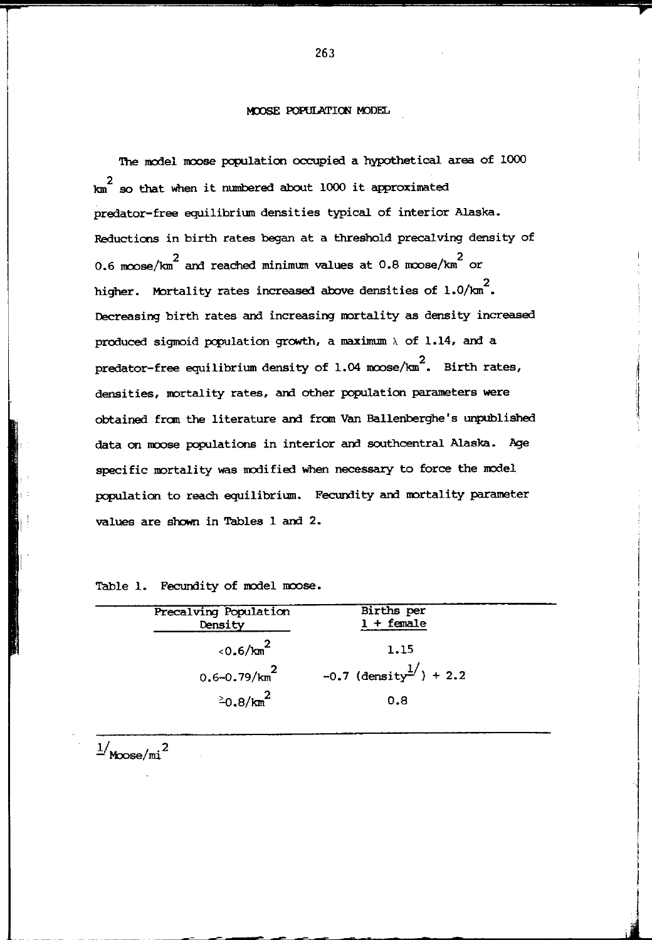# MOOSE POPULATION MODEL

The model moose population occupied a hypothetical area of 1000  $km^2$  so that when it numbered about 1000 it approximated predator-free equilibrium densities typical of interior Alaska. Reductions in birth rates began at a threshold precalving density of 0.6 moose/km<sup>2</sup> and reached minimum values at 0.8 moose/km<sup>2</sup> or higher. Mortality rates increased above densities of 1.0/km  $^2$ . Decreasing birth rates and increasing mortality as density increased produced sigmoid population growth, a maximum  $\lambda$  of 1.14, and a predator-free equilibrium density of 1.04 m $\cos\!/\mathrm{cm}^2$ . Birth rates, densities, mortality rates, and other population parameters were obtained fran the literature and fran Van Ballenberghe's unpublished data on moose populations in interior and southcentral Alaska. Age specific nortality was modified when necessary to force the model population to reach equilibrium. Fecundity and mortality parameter values are shown in Tables 1 and 2.

Table 1. Fecundity of model moose.

| Precalving Population<br>Density | Births per<br>$1 + \text{female}$    |  |
|----------------------------------|--------------------------------------|--|
| $10.6/m^2$                       | 1.15                                 |  |
| $0.6 - 0.79/km^2$                | $-0.7$ (density <sup>1</sup> ) + 2.2 |  |
| $20.8/\text{km}^2$               | 0.8                                  |  |

 $\vert$ 

**International Contract of the Contract of the Contract of the Contract of the Contract of the Contract of the Contract of the Contract of the Contract of the Contract of the Contract of the Contract of the Contract of the** I

 $\frac{1}{M}$ M $\infty$ se/mi<sup>2</sup>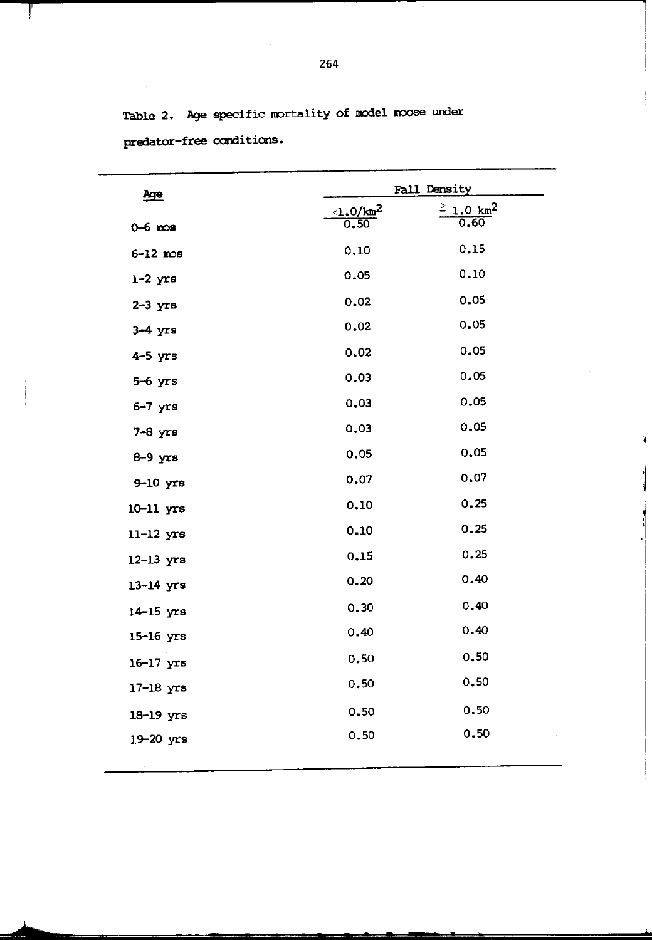Table 2. Age specific mortality of model moose under predator-free conditions.

| <u>Age</u>        |                                 | Fall Density                     |
|-------------------|---------------------------------|----------------------------------|
| $0 - 6$ mos       | $\frac{1.0 \text{ km}^2}{0.50}$ | $\frac{2}{0.60}$ km <sup>2</sup> |
| $6 - 12$ mos      | 0.10                            | 0.15                             |
| $1-2$ $yrs$       | 0.05                            | 0.10                             |
| $2-3$ $yrs$       | 0.02                            | 0.05                             |
| $3-4$ $yrs$       | 0.02                            | 0.05                             |
| $4-5$ yrs         | 0.02                            | 0.05                             |
| $5-6$ yrs         | 0.03                            | 0.05                             |
| $6-7$ yrs         | 0.03                            | 0.05                             |
| $7-8$ $yrs$       | 0.03                            | 0.05                             |
| $8-9$ $\gamma$ rs | 0.05                            | 0.05                             |
| $9-10$ yrs        | 0.07                            | 0.07                             |
| $10-11$ $yrs$     | 0.10                            | 0.25                             |
| $11-12$ $yrs$     | 0.10                            | 0.25                             |
| $12-13$ $yrs$     | 0.15                            | 0.25                             |
| $13-14$ yrs       | 0.20                            | 0.40                             |
| $14-15$ yrs       | 0.30                            | 0.40                             |
| 15-16 yrs         | 0.40                            | 0.40                             |
| $16-17$ $yrs$     | 0.50                            | 0.50                             |
| $17-18$ yrs       | 0.50                            | 0.50                             |
| 18-19 yrs         | 0.50                            | 0.50                             |
| 19-20 yrs         | 0.50                            | 0.50                             |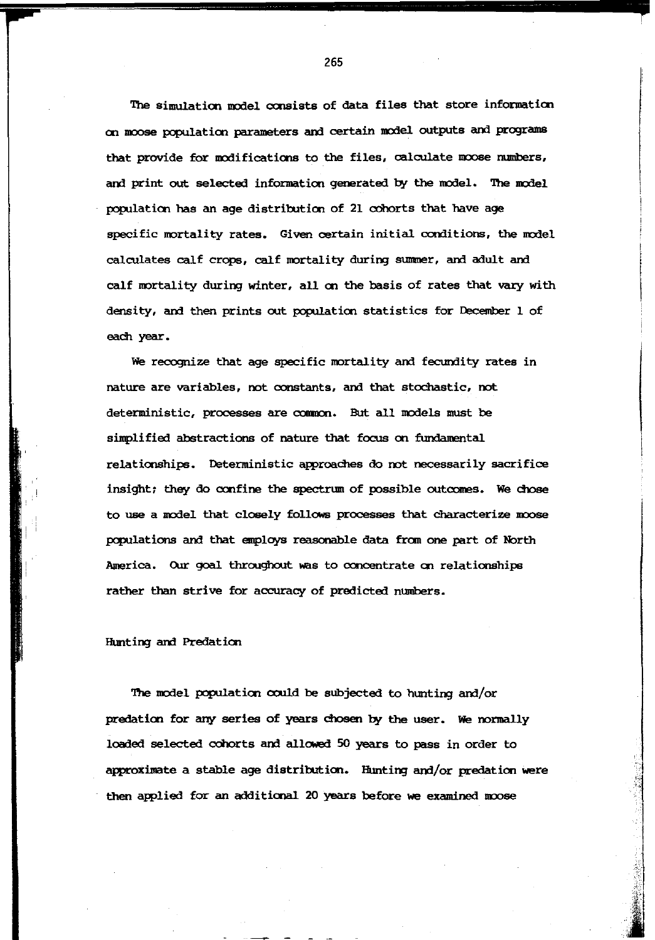The simulation model consists of data files that store information on moose population parameters and certain model outputs and programs that provide for modifications to the files, calculate moose numbers, and print out selected information generated by the model. The model population has an age distribution of 21 cohorts that have age specific mortality rates. Given certain initial conditions, the model calculates calf crops, calf mortality during summer, and adult and calf mortality during winter, all en the basis of rates that vary with density, and then prints out population statistics for December 1 of each year.

We recognize that age specific mortality and fecundity rates in nature are variables, not constants, and that stochastic, not deterministic, processes are common. But all models must be simplified abstractions of nature that focus on fundamental relationships. Deterministic approaches do not necessarily sacrifice insight; they do confine the spectrum of possible outcomes. We chose to use a model that closely follows processes that characterize moose populations and that employs reasonable data from one part of North America. Our goal throughout was to concentrate on relationships rather than strive for accuracy of predicted numbers.

## Hunting and Predation

! i

The model population could be subjected to hunting and/or predation for any series of years chosen by the user. We normally loaded selected cohorts and allowed 50 years to pass in order to approximate a stable age distribution. Hunting and/or predation were then applied for an additional 20 years before we examined moose

je za najveći pod najveći za najveći za najveći za najveći za najveći za najveći za najveći za najveći za najv

:

.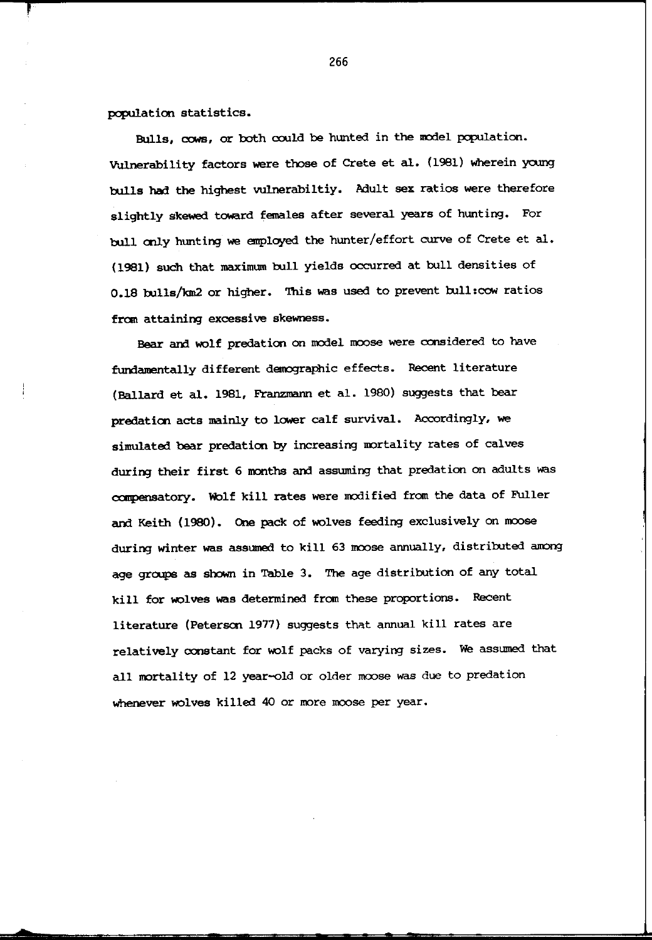population statistics.

Bulls, cows, or both could be hunted in the model population. Vulnerability factors were those of Crete et al. (1981) wherein young bulls had the highest vulnerabiltiy. Adult sex ratios were therefore slightly skewed toward females after several years of hunting. For bull only hunting we employed the hunter/effort curve of Crete et al. (1981) such that maximum bull yields occurred at bull densities of 0.18 bulls/km2 or higher. This was used to prevent bull:cow ratios from attaining excessive skewness.

Bear and wolf predation on model moose were considered to have fundamentally different demographic effects. Recent literature (Ballard et al. 1981, Franzmann et al. 1980) suggests that bear predation acts mainly to lower calf survival. Accordingly, we simulated bear predation by increasing mortality rates of calves during their first 6 months and assuming that predation on adults was compensatory. Wolf kill rates were modified from the data of Fuller and Keith (1980). One pack of wolves feeding exclusively on moose during winter was assumed to kill 63 moose annually, distributed among age groups as shown in Table 3. The age distribution of any total kill for wolves was determined from these proportions. Recent literature (Peterson 1977) suggests that annual kill rates are relatively constant for wolf packs of varying sizes. We assumed that all mortality of 12 year-old or older moose was due to predation whenever wolves killed 40 or more moose per year.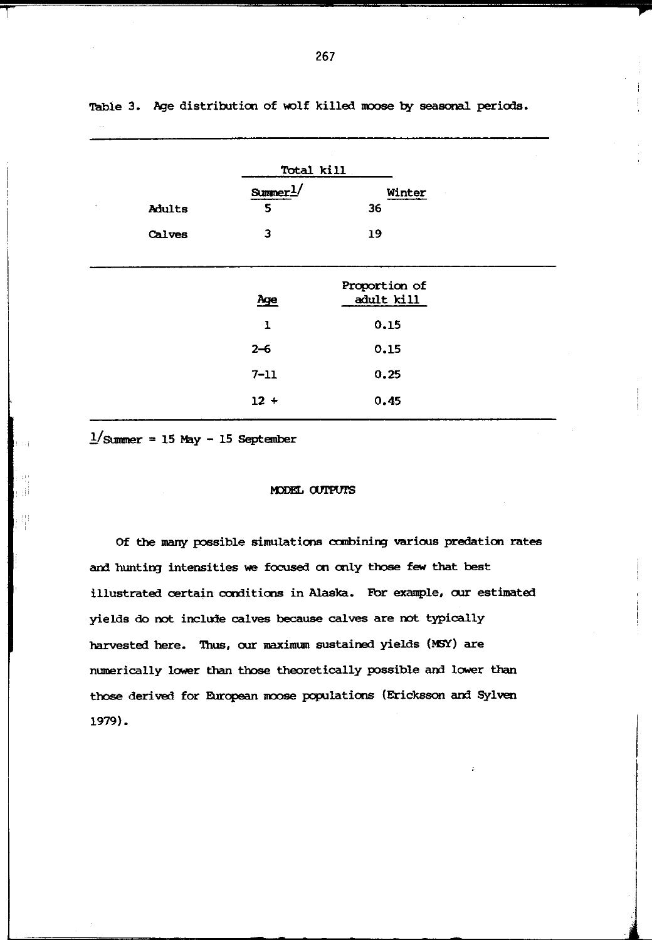|        | Total kill |               |  |
|--------|------------|---------------|--|
|        | Sumer1/    | Winter        |  |
| Adults | 5          | 36            |  |
| Calves | 3          | 19            |  |
|        |            |               |  |
|        |            | Proportion of |  |
|        | Age        | adult kill    |  |
|        | 1          | 0.15          |  |
|        | $2 - 6$    | 0.15          |  |
|        | $7 - 11$   | 0.25          |  |
|        | $12 +$     | 0.45          |  |

Table 3. Age distribution of wolf killed moose by seasonal periods.

 $1/\text{Summer} = 15$  May - 15 September

### MODEL OUTPUTS

Of the many possible simulations combining various predation rates and hunting intensities we focused on only those few that best illustrated certain conditions in Alaska. For example, our estimated yields do not include calves because calves are not typically harvested here. Thus, our maximum sustained yields (MSY) are numerically lower than those theoretically possible and lower than those derived for European moose populations (Ericksson and Sylven 1979).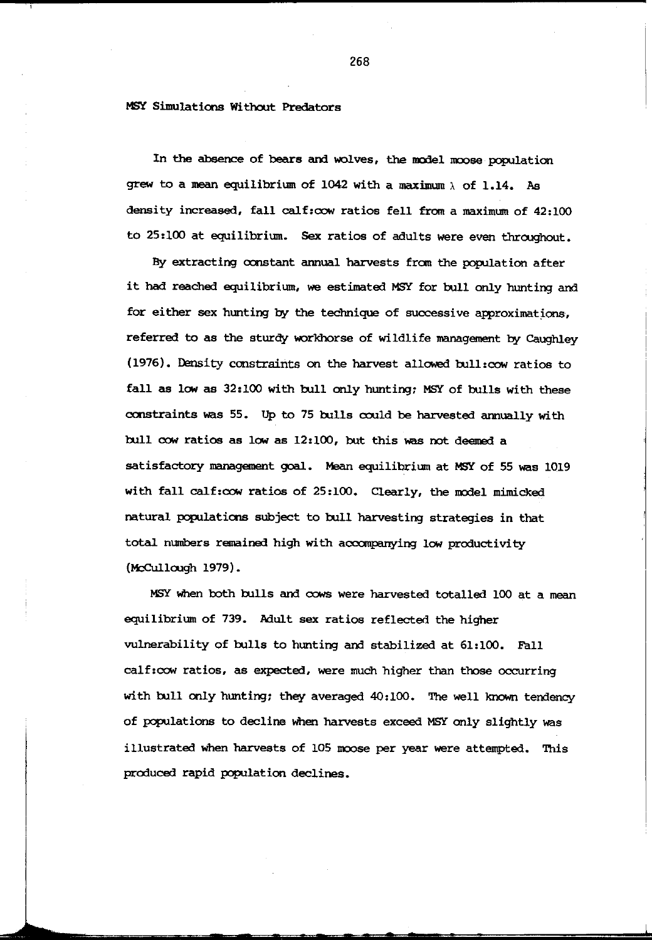MSY Simulations Without Predators

In the absence of bears and wolves, the model moose population grew to a mean equilibrium of 1042 with a maximum  $\lambda$  of 1.14. As density increased, fall calf:oow ratios fell from a maximum of 42:100 to 25:100 at equilibrium. Sex ratios of adults were even throughout.

By extracting constant annual harvests fran the population after it had reached equilibrium, we estimated MSY for bull only hunting and for either sex hunting by the technique of successive approximations. referred to as the sturdy workhorse of wildlife management by Caughley (1976). Iensity constraints on the harvest allowed bull:oow ratios to fall as low as 32:100 with bull only hunting; MSY of bulls with these constraints was 55. Up to 75 bulls could be harvested annually with bull oow ratios as low as 12:100, but this was not deemed a satisfactory management goal. Mean equilibrium at MSY of 55 was 1019 with fall calf:cow ratios of 25:100. Clearly, the model mimicked natural populations subject to bull harvesting strategies in that total munbers remained high with accanpanying low productivity  $(McCullouqh 1979)$ .

MSY when both bulls and cows were harvested totalled 100 at a mean equilibrium of 739. Mult sex ratios reflected the higher vulnerability of bulls to hunting and stabilized at 61:100. Fall calf:oow ratios, as expected, were much higher than those occurring with bull only hunting; they averaged 40:100. The well known tendency of populations to decline when harvests exceed MSY only slightly was illustrated when harvests of 105 moose per year were attempted. This produced rapid population declines.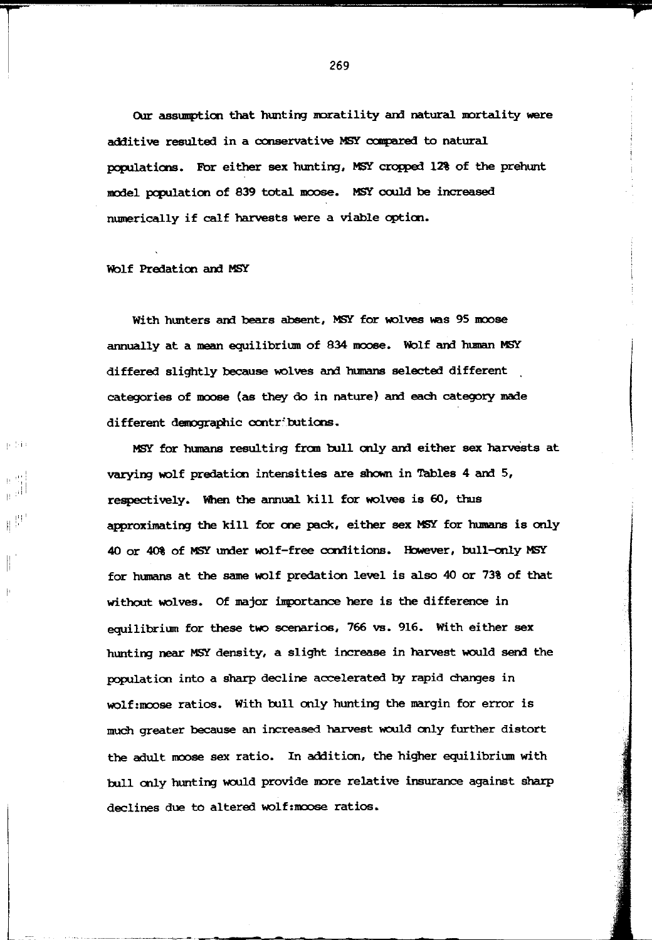Our assumption that hunting moratility and natural mortality were additive resulted in a conservative MSY compared to natural populations. For either sex hunting, MSY cropped 12% of the prehunt model population of 839 total moose. MSY could be increased numerically if calf harvests were a viable cption.

# Wolf Predation and MSY

 $\sqrt{2}$ 

I'' I

把

With hunters and bears absent. MSY for wolves was 95 moose annually at a mean equilibrium of 834 moose. Wolf and human MSY differed slightly because wolves and humans selected different categories of moose (as they do in nature) and each category made different demographic contributions.

MSY for humans resulting fran rull only am either sex harvests at varying wolf predation intensities are shown in Tables 4 and 5, respectively. When the annual kill for wolves is 60, thus approximating the kill for one pack, either sex MSY for humans is only 40 or 40% of MSY under wolf-free conditions. However, bull-only MSY for humans at the same wolf predation level is also 40 or 73% of that without wolves. Of major importance here is the difference in equilibrium for these two scenarios, 766 vs. 916. With either sex hunting near MSY density, a slight increase in harvest would send the population into a sharp decline accelerated by rapid changes in wolf:moose ratios. With bull only hunting the margin for error is much greater because an increased harvest would only further distort the adult moose sex ratio. In addition, the higher equilibrium with bull only hunting would provide more relative insurance against sharp declines due to altered wolf: moose ratios.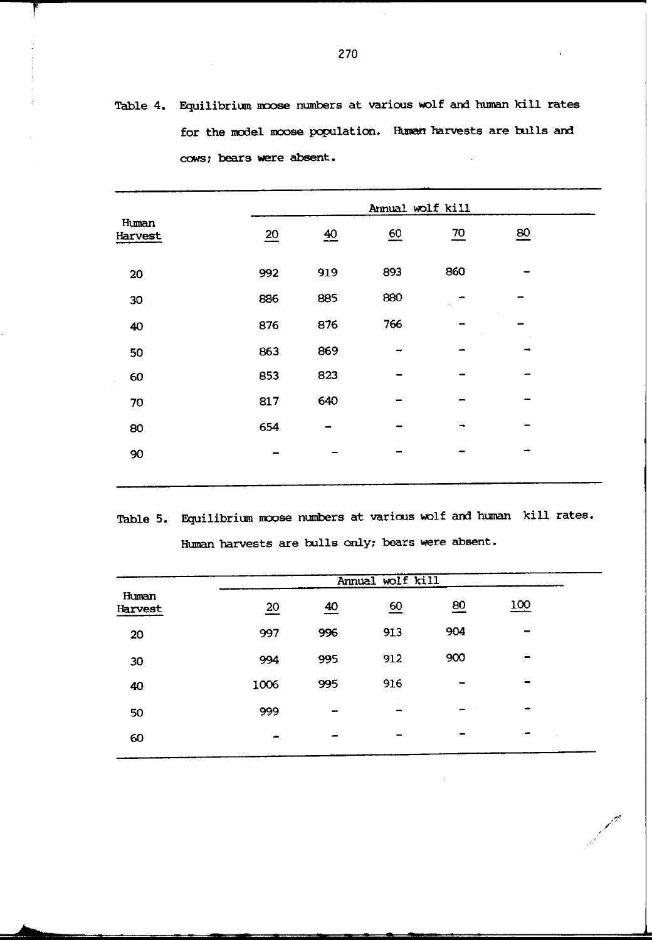Table 4. Equilibrium moose numbers at various wolf and human kill rates for the model moose population. Human harvests are bulls and cows; bears were absent.

|                  |                 | Annual wolf kill |                  |                |                  |
|------------------|-----------------|------------------|------------------|----------------|------------------|
| Human<br>Harvest | $\overline{20}$ | $\overline{40}$  | $\underline{60}$ | $\frac{70}{2}$ | $\underline{80}$ |
| 20               | 992             | 919              | 893              | 860            |                  |
| 30               | 886             | 885              | 880              |                |                  |
| 40               | 876             | 876              | 766              | -              |                  |
| 50               | 863             | 869              | -                | ببيد           |                  |
| 60               | 853             | 823              |                  |                |                  |
| 70               | 817             | 640              |                  | -              |                  |
| 80               | 654             |                  |                  | ٠              |                  |
| 90               | ÷               |                  |                  |                | -                |
|                  |                 |                  |                  |                |                  |

Table 5. Equilibrium moose numbers at various wolf and human kill rates. Human harvests are bulls only; bears were absent.

|                  | Annual wolf kill |                |     |                 |            |  |
|------------------|------------------|----------------|-----|-----------------|------------|--|
| Human<br>Harvest | $\overline{20}$  | $\frac{40}{5}$ | 60  | $\overline{80}$ | <u>100</u> |  |
| 20               | 997              | 996            | 913 | 904             |            |  |
| 30               | 994              | 995            | 912 | 900             |            |  |
| 40               | 1006             | 995            | 916 |                 |            |  |
| 50               | 999              | -              |     |                 | -          |  |
| 60               |                  |                | -   |                 |            |  |

*/* "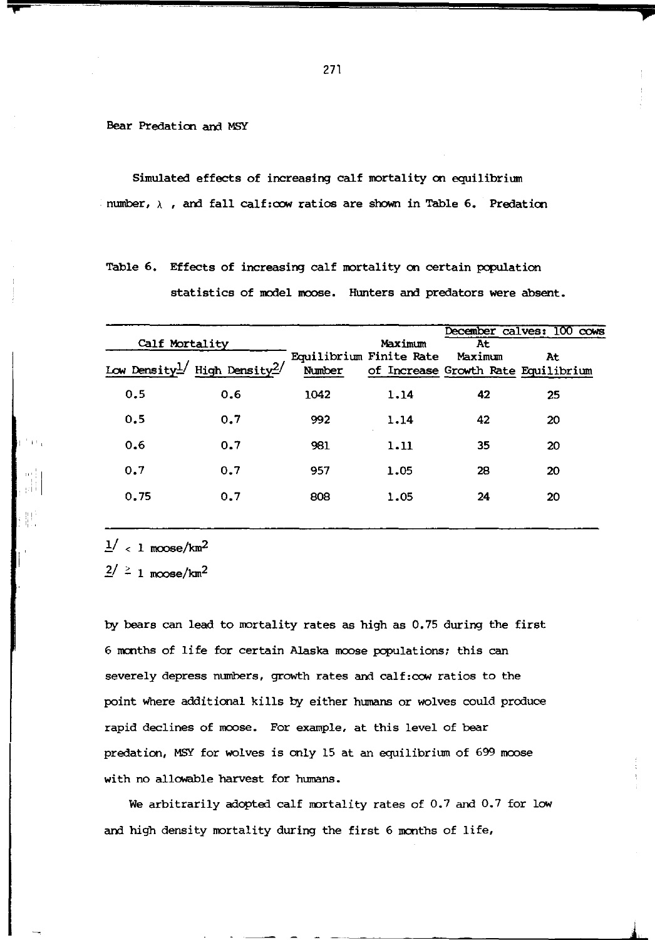Bear Predation and MSY

Simulated effects of increasing calf mortality en equilibrium number,  $\lambda$  , and fall calf:cow ratios are shown in Table 6. Predation

Table 6. Effects of increasing calf mortality on certain population statistics of model moose. Hunters and predators were absent.

|    | Calf Mortality |                                                       |        | Maximum                 | At      | December calves: 100 cows                 |  |  |
|----|----------------|-------------------------------------------------------|--------|-------------------------|---------|-------------------------------------------|--|--|
|    |                | Low Density <sup>1</sup> / High Density <sup>2/</sup> | Number | Equilibrium Finite Rate | Maximum | At<br>of Increase Growth Rate Equilibrium |  |  |
|    | 0.5            | 0.6                                                   | 1042   | 1.14                    | 42      | 25                                        |  |  |
|    | 0.5            | 0.7                                                   | 992    | 1.14                    | 42      | 20                                        |  |  |
| e. | 0.6            | 0.7                                                   | 981    | 1.11                    | 35      | 20                                        |  |  |
|    | 0.7            | 0.7                                                   | 957    | 1.05                    | 28      | 20                                        |  |  |
|    | 0.75           | 0.7                                                   | 808    | 1.05                    | 24      | 20                                        |  |  |
|    |                |                                                       |        |                         |         |                                           |  |  |

 $\frac{1}{a}$   $<$  1 moose/km<sup>2</sup>

 $2^{2}$   $\geq$  1 moose/km<sup>2</sup>

by bears can lead to mortality rates as high as 0.75 during the first 6 months of life for certain Alaska moose populations; this can severely depress numbers, growth rates and calf:cow ratios to the point where additional kills by either humans or wolves could produce rapid declines of moose. For example, at this level of bear predation, MSY for wolves is only 15 at an equilibrium of 699 moose with no allowable harvest for humans.

We arbitrarily adopted calf mortality rates of 0.7 and 0.7 for low and high density mortality during the first 6 months of life,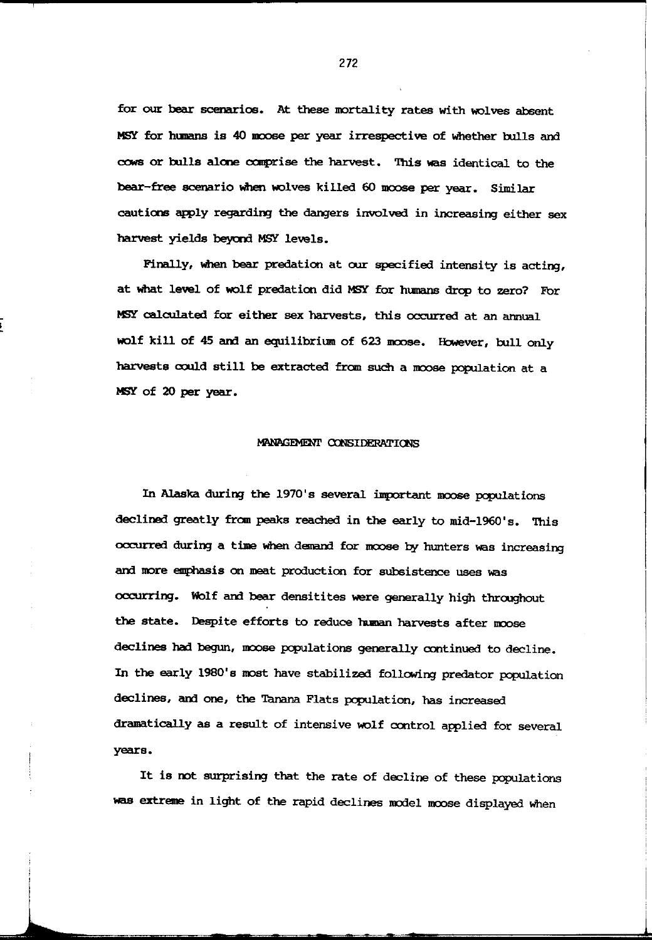for our bear scenarios. At these mortality rates with wolves absent MSY for humans is 40 moose per year irrespective of whether bulls and cows or bulls alone comprise the harvest. This was identical to the bear-free scenario When wolves killed 60 moose per year. Similar cautions apply regarding the dangers involved in increasing either sex harvest yields beyond MSY levels.

Finally, when bear predation at our specified intensity is acting, at What level of wolf predation did MSY for humans drop to zero? For MSY calculated for either sex harvests, this occurred at an annual wolf kill of 45 and an equilibrium of 623 moose. However, bull only harvests could still be extracted from such a moose population at a MSY of 20 per year.

#### MANAGEMENT CONSIDERATIONS

In Alaska during the 1970's several important moose populations declined greatly fran peaks reached in the early to mid-1960's. This occurred during a time when demand for moose by hunters was increasing and more emphasis on meat production for subsistence uses was occurring. Wolf and bear densitites were generally high throoghout the state. Despite efforts to reduce human harvests after moose declines had begun, moose populations generally continued to decline. In the early 1980's most have stabilized following predator population declines, and one, the Tanana Flats population, has increased dramatically as a result of intensive wolf control applied for several years.

It is oot surprising that the rate of decline of these populations was extreme in light of the rapid declines model moose displayed when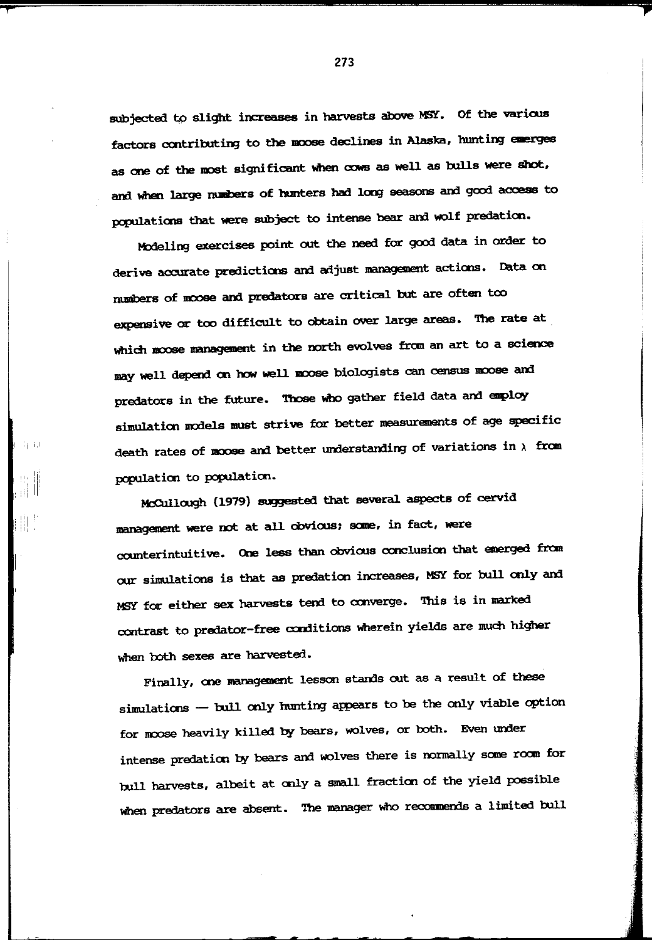subjected to slight increases in harvests above MSY. Of the various factors contributing to the moose declines in Alaska, hunting emerges as one of the most significant when cows as well as bulls were shot, and when large numbers of hunters had long seasons and good access to populations that were subject to intense bear and wolf predation.

Modeling exercises point out the need for good data in order to derive accurate predictions and adjust management actions. Data on numbers of moose and predators are critical but are often too expensive or too difficult to obtain over large areas. The rate at which moose management in the north evolves from an art to a science may well depend on how well moose biologists can census moose and predators in the future. Those who gather field data and employ simulation models must strive for better measurements of age specific death rates of moose and better understanding of variations in  $\lambda$  from population to population.

一年1月

McCullough (1979) suggested that several aspects of cervid management were not at all cbvious: saae, in fact, were counterintuitive. One less than obvious conclusion that emerged fran our simulations is that as predation increases, MSY for bull only and MSY for either sex harvests tend to converge. This is in marked contrast to predator-free conditions wherein yields are much higher when both sexes are harvested.

Finally, one management lesson stands out as a result of these simulations - bull only hunting appears to be the only viable option for moose heavily killed by bears, wolves, or both. Even under intense predation by bears and wolves there is normally some room for bull harvests, albeit at only a small fraction of the yield possible when predators are absent. The manager who recommends a limited bull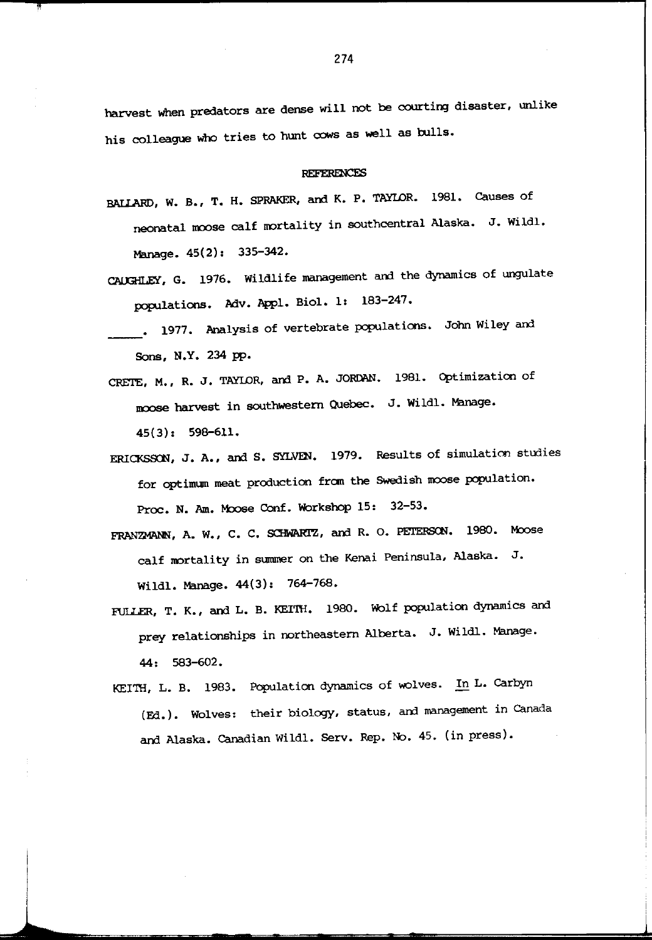harvest when predators are dense will not be courting disaster, unlike his colleague who tries to hunt cows as well as bulls.

#### **REFERENCES**

- BAllARD, W. B., T. H. SPRAKER, and K. P. TAYLOR. 1981. Causes of neonatal moose calf mortality in southcentral Alaska. J. Wildl. Manage. 45(2): 335-342.
- CAUGHLEY, G. 1976. Wildlife management and the dynamics of ungulate populations. Adv. Appl. Biol. 1: 183-247.
- . 1977. Analysis of vertebrate populations. John Wiley and Sons, N.Y. 234 pp.
- CRETE, M., R. J. TAYLOR, and P. A. JORDAN. 1981. Optimization of noose harvest in southwestern Quebec. J. Wildl. Manage. 45(3): 598-611.
- ERICKSSON, J. A., and S. SYLVEN. 1979. Results of simulation studies for optimum meat production from the Swedish moose population. Proc. N. Am. Moose Conf. Workshop 15: 32-53.
- FRANZMANN, A. W., C. C. SCHWARIZ, and R. O. PETERSON. 1980. Moose calf nortality in summer on the Kenai Peninsula, Alaska. J. Wildl. Manage. 44(3): 764-768.
- FULLER, T. K., and L. B. KEITH. 1980. Wolf population dynamics and prey relationships in northeastern Alberta. J. Wildl. Manage. 44: 583-602.
- KEITH, L. B. 1983. Population dynamics of wolves. In L. Carbyn ( Fd. ) • Wolves: their biology, status, and management in Canada and Alaska. Canadian Wildl. Serv. Rep. No. 45. (in press).